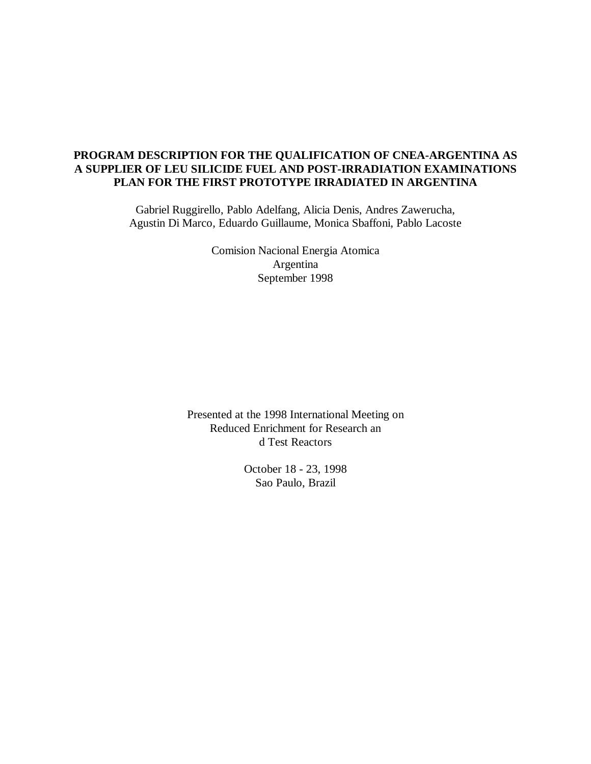# **PROGRAM DESCRIPTION FOR THE QUALIFICATION OF CNEA-ARGENTINA AS A SUPPLIER OF LEU SILICIDE FUEL AND POST-IRRADIATION EXAMINATIONS PLAN FOR THE FIRST PROTOTYPE IRRADIATED IN ARGENTINA**

Gabriel Ruggirello, Pablo Adelfang, Alicia Denis, Andres Zawerucha, Agustin Di Marco, Eduardo Guillaume, Monica Sbaffoni, Pablo Lacoste

> Comision Nacional Energia Atomica Argentina September 1998

Presented at the 1998 International Meeting on Reduced Enrichment for Research an d Test Reactors

> October 18 - 23, 1998 Sao Paulo, Brazil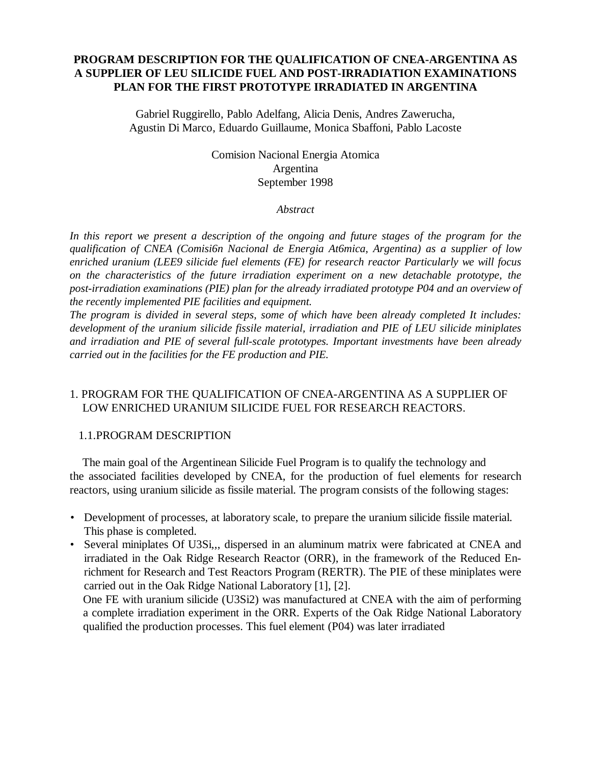## **PROGRAM DESCRIPTION FOR THE QUALIFICATION OF CNEA-ARGENTINA AS A SUPPLIER OF LEU SILICIDE FUEL AND POST-IRRADIATION EXAMINATIONS PLAN FOR THE FIRST PROTOTYPE IRRADIATED IN ARGENTINA**

Gabriel Ruggirello, Pablo Adelfang, Alicia Denis, Andres Zawerucha, Agustin Di Marco, Eduardo Guillaume, Monica Sbaffoni, Pablo Lacoste

> Comision Nacional Energia Atomica Argentina September 1998

> > *Abstract*

*In this report we present a description of the ongoing and future stages of the program for the qualification of CNEA (Comisi6n Nacional de Energia At6mica, Argentina) as a supplier of low enriched uranium (LEE9 silicide fuel elements (FE) for research reactor Particularly we will focus on the characteristics of the future irradiation experiment on a new detachable prototype, the post-irradiation examinations (PIE) plan for the already irradiated prototype P04 and an overview of the recently implemented PIE facilities and equipment.*

*The program is divided in several steps, some of which have been already completed It includes: development of the uranium silicide fissile material, irradiation and PIE of LEU silicide miniplates and irradiation and PIE of several full-scale prototypes. Important investments have been already carried out in the facilities for the FE production and PIE.*

## 1. PROGRAM FOR THE QUALIFICATION OF CNEA-ARGENTINA AS A SUPPLIER OF LOW ENRICHED URANIUM SILICIDE FUEL FOR RESEARCH REACTORS.

## 1.1.PROGRAM DESCRIPTION

The main goal of the Argentinean Silicide Fuel Program is to qualify the technology and the associated facilities developed by CNEA, for the production of fuel elements for research reactors, using uranium silicide as fissile material. The program consists of the following stages:

- Development of processes, at laboratory scale, to prepare the uranium silicide fissile material. This phase is completed.
- Several miniplates Of U3Si,,, dispersed in an aluminum matrix were fabricated at CNEA and irradiated in the Oak Ridge Research Reactor (ORR), in the framework of the Reduced Enrichment for Research and Test Reactors Program (RERTR). The PIE of these miniplates were carried out in the Oak Ridge National Laboratory [1], [2].

One FE with uranium silicide (U3Si2) was manufactured at CNEA with the aim of performing a complete irradiation experiment in the ORR. Experts of the Oak Ridge National Laboratory qualified the production processes. This fuel element (P04) was later irradiated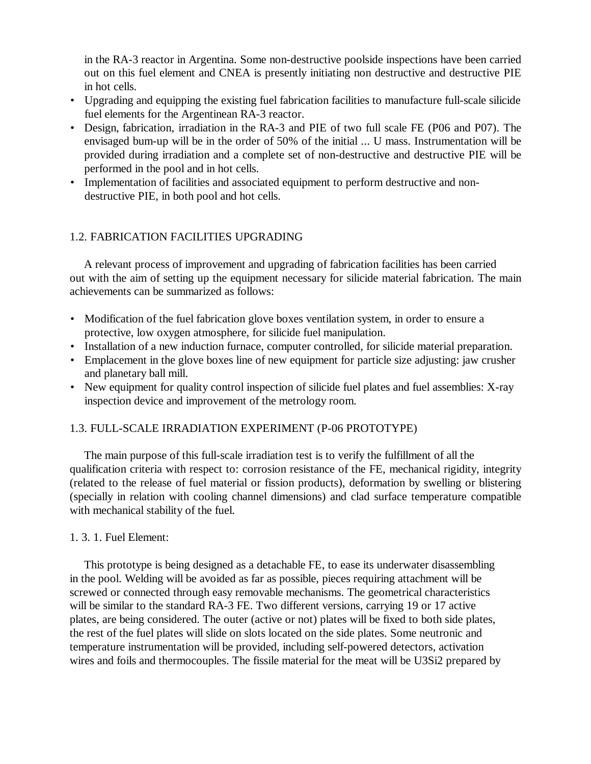in the RA-3 reactor in Argentina. Some non-destructive poolside inspections have been carried out on this fuel element and CNEA is presently initiating non destructive and destructive PIE in hot cells.

- Upgrading and equipping the existing fuel fabrication facilities to manufacture full-scale silicide fuel elements for the Argentinean RA-3 reactor.
- Design, fabrication, irradiation in the RA-3 and PIE of two full scale FE (P06 and P07). The envisaged bum-up will be in the order of 50% of the initial ... U mass. Instrumentation will be provided during irradiation and a complete set of non-destructive and destructive PIE will be performed in the pool and in hot cells.
- Implementation of facilities and associated equipment to perform destructive and nondestructive PIE, in both pool and hot cells.

# 1.2. FABRICATION FACILITIES UPGRADING

A relevant process of improvement and upgrading of fabrication facilities has been carried out with the aim of setting up the equipment necessary for silicide material fabrication. The main achievements can be summarized as follows:

- Modification of the fuel fabrication glove boxes ventilation system, in order to ensure a protective, low oxygen atmosphere, for silicide fuel manipulation.
- Installation of a new induction furnace, computer controlled, for silicide material preparation.
- Emplacement in the glove boxes line of new equipment for particle size adjusting: jaw crusher and planetary ball mill.
- New equipment for quality control inspection of silicide fuel plates and fuel assemblies: X-ray inspection device and improvement of the metrology room.

# 1.3. FULL-SCALE IRRADIATION EXPERIMENT (P-06 PROTOTYPE)

The main purpose of this full-scale irradiation test is to verify the fulfillment of all the qualification criteria with respect to: corrosion resistance of the FE, mechanical rigidity, integrity (related to the release of fuel material or fission products), deformation by swelling or blistering (specially in relation with cooling channel dimensions) and clad surface temperature compatible with mechanical stability of the fuel.

## 1. 3. 1. Fuel Element:

This prototype is being designed as a detachable FE, to ease its underwater disassembling in the pool. Welding will be avoided as far as possible, pieces requiring attachment will be screwed or connected through easy removable mechanisms. The geometrical characteristics will be similar to the standard RA-3 FE. Two different versions, carrying 19 or 17 active plates, are being considered. The outer (active or not) plates will be fixed to both side plates, the rest of the fuel plates will slide on slots located on the side plates. Some neutronic and temperature instrumentation will be provided, including self-powered detectors, activation wires and foils and thermocouples. The fissile material for the meat will be U3Si2 prepared by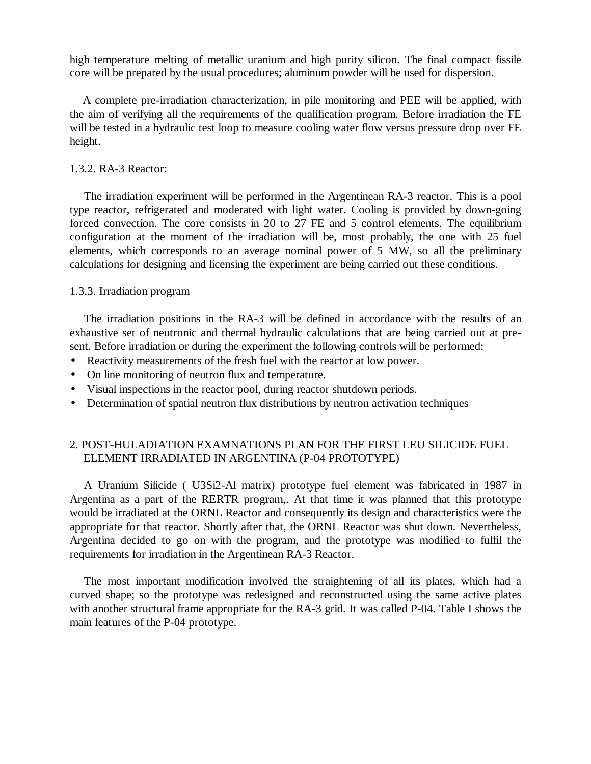high temperature melting of metallic uranium and high purity silicon. The final compact fissile core will be prepared by the usual procedures; aluminum powder will be used for dispersion.

A complete pre-irradiation characterization, in pile monitoring and PEE will be applied, with the aim of verifying all the requirements of the qualification program. Before irradiation the FE will be tested in a hydraulic test loop to measure cooling water flow versus pressure drop over FE height.

#### 1.3.2. RA-3 Reactor:

The irradiation experiment will be performed in the Argentinean RA-3 reactor. This is a pool type reactor, refrigerated and moderated with light water. Cooling is provided by down-going forced convection. The core consists in 20 to 27 FE and 5 control elements. The equilibrium configuration at the moment of the irradiation will be, most probably, the one with 25 fuel elements, which corresponds to an average nominal power of 5 MW, so all the preliminary calculations for designing and licensing the experiment are being carried out these conditions.

#### 1.3.3. Irradiation program

The irradiation positions in the RA-3 will be defined in accordance with the results of an exhaustive set of neutronic and thermal hydraulic calculations that are being carried out at present. Before irradiation or during the experiment the following controls will be performed:

- Reactivity measurements of the fresh fuel with the reactor at low power.
- On line monitoring of neutron flux and temperature.
- Visual inspections in the reactor pool, during reactor shutdown periods.
- Determination of spatial neutron flux distributions by neutron activation techniques

## 2. POST-HULADIATION EXAMNATIONS PLAN FOR THE FIRST LEU SILICIDE FUEL ELEMENT IRRADIATED IN ARGENTINA (P-04 PROTOTYPE)

A Uranium Silicide ( U3Si2-Al matrix) prototype fuel element was fabricated in 1987 in Argentina as a part of the RERTR program,. At that time it was planned that this prototype would be irradiated at the ORNL Reactor and consequently its design and characteristics were the appropriate for that reactor. Shortly after that, the ORNL Reactor was shut down. Nevertheless, Argentina decided to go on with the program, and the prototype was modified to fulfil the requirements for irradiation in the Argentinean RA-3 Reactor.

The most important modification involved the straightening of all its plates, which had a curved shape; so the prototype was redesigned and reconstructed using the same active plates with another structural frame appropriate for the RA-3 grid. It was called P-04. Table I shows the main features of the P-04 prototype.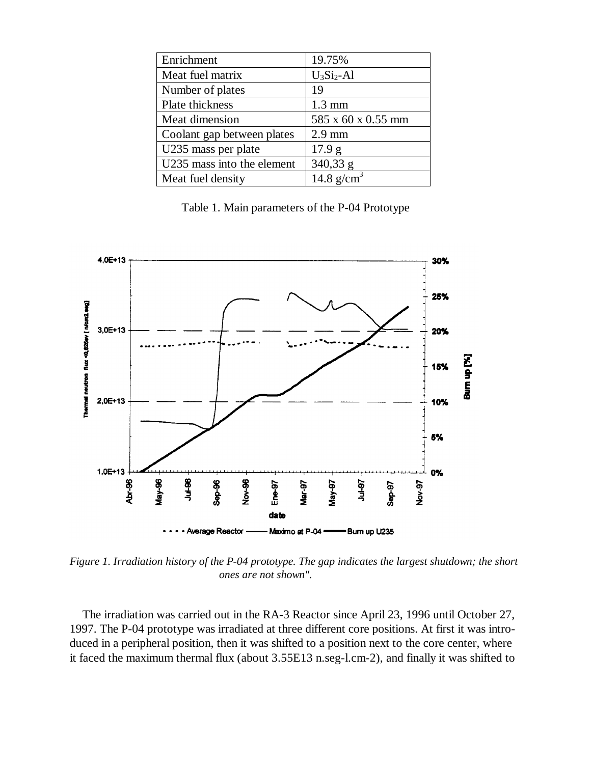| Enrichment                 | 19.75%                              |
|----------------------------|-------------------------------------|
| Meat fuel matrix           | $U_3Si_2$ -Al                       |
| Number of plates           | 19                                  |
| Plate thickness            | $1.3 \text{ mm}$                    |
| Meat dimension             | 585 x 60 x 0.55 mm                  |
| Coolant gap between plates | $2.9$ mm                            |
| U235 mass per plate        | 17.9 <sub>g</sub>                   |
| U235 mass into the element | 340,33 g                            |
| Meat fuel density          | $\overline{14.8}$ g/cm <sup>3</sup> |

Table 1. Main parameters of the P-04 Prototype



*Figure 1. Irradiation history of the P-04 prototype. The gap indicates the largest shutdown; the short ones are not shown".*

The irradiation was carried out in the RA-3 Reactor since April 23, 1996 until October 27, 1997. The P-04 prototype was irradiated at three different core positions. At first it was introduced in a peripheral position, then it was shifted to a position next to the core center, where it faced the maximum thermal flux (about 3.55E13 n.seg-l.cm-2), and finally it was shifted to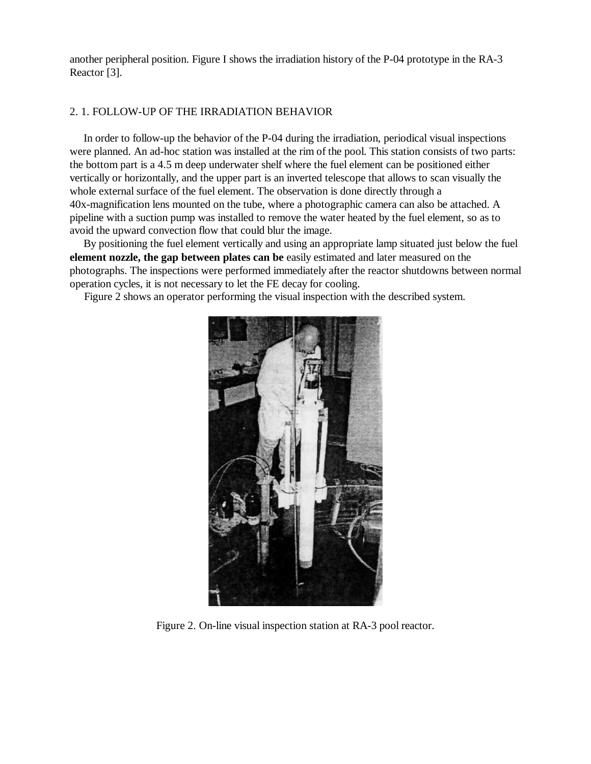another peripheral position. Figure I shows the irradiation history of the P-04 prototype in the RA-3 Reactor [3].

#### 2. 1. FOLLOW-UP OF THE IRRADIATION BEHAVIOR

In order to follow-up the behavior of the P-04 during the irradiation, periodical visual inspections were planned. An ad-hoc station was installed at the rim of the pool. This station consists of two parts: the bottom part is a 4.5 m deep underwater shelf where the fuel element can be positioned either vertically or horizontally, and the upper part is an inverted telescope that allows to scan visually the whole external surface of the fuel element. The observation is done directly through a 40x-magnification lens mounted on the tube, where a photographic camera can also be attached. A pipeline with a suction pump was installed to remove the water heated by the fuel element, so as to avoid the upward convection flow that could blur the image.

By positioning the fuel element vertically and using an appropriate lamp situated just below the fuel **element nozzle, the gap between plates can be** easily estimated and later measured on the photographs. The inspections were performed immediately after the reactor shutdowns between normal operation cycles, it is not necessary to let the FE decay for cooling.

Figure 2 shows an operator performing the visual inspection with the described system.



Figure 2. On-line visual inspection station at RA-3 pool reactor.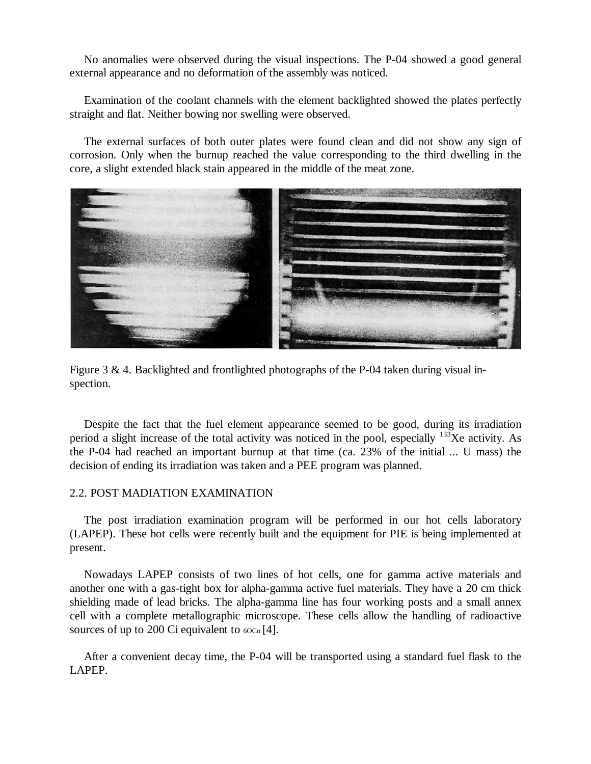No anomalies were observed during the visual inspections. The P-04 showed a good general external appearance and no deformation of the assembly was noticed.

Examination of the coolant channels with the element backlighted showed the plates perfectly straight and flat. Neither bowing nor swelling were observed.

The external surfaces of both outer plates were found clean and did not show any sign of corrosion. Only when the burnup reached the value corresponding to the third dwelling in the core, a slight extended black stain appeared in the middle of the meat zone.



Figure 3 & 4. Backlighted and frontlighted photographs of the P-04 taken during visual inspection.

Despite the fact that the fuel element appearance seemed to be good, during its irradiation period a slight increase of the total activity was noticed in the pool, especially  $133$ Xe activity. As the P-04 had reached an important burnup at that time (ca. 23% of the initial ... U mass) the decision of ending its irradiation was taken and a PEE program was planned.

#### 2.2. POST MADIATION EXAMINATION

The post irradiation examination program will be performed in our hot cells laboratory (LAPEP). These hot cells were recently built and the equipment for PIE is being implemented at present.

Nowadays LAPEP consists of two lines of hot cells, one for gamma active materials and another one with a gas-tight box for alpha-gamma active fuel materials. They have a 20 cm thick shielding made of lead bricks. The alpha-gamma line has four working posts and a small annex cell with a complete metallographic microscope. These cells allow the handling of radioactive sources of up to 200 Ci equivalent to  $60C<sub>0</sub>$  [4].

After a convenient decay time, the P-04 will be transported using a standard fuel flask to the LAPEP.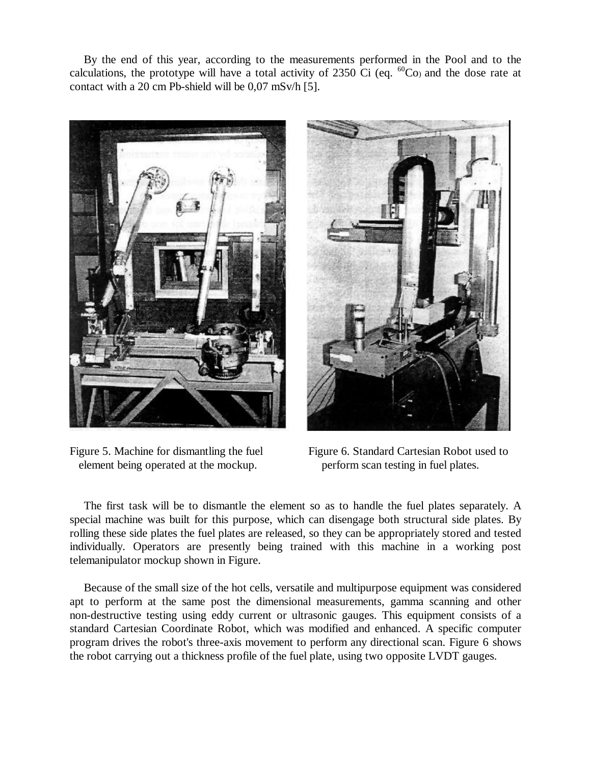By the end of this year, according to the measurements performed in the Pool and to the calculations, the prototype will have a total activity of 2350 Ci (eq.  $^{60}$ Co) and the dose rate at contact with a 20 cm Pb-shield will be 0,07 mSv/h [5].



element being operated at the mockup. perform scan testing in fuel plates.



Figure 5. Machine for dismantling the fuel Figure 6. Standard Cartesian Robot used to

The first task will be to dismantle the element so as to handle the fuel plates separately. A special machine was built for this purpose, which can disengage both structural side plates. By rolling these side plates the fuel plates are released, so they can be appropriately stored and tested individually. Operators are presently being trained with this machine in a working post telemanipulator mockup shown in Figure.

Because of the small size of the hot cells, versatile and multipurpose equipment was considered apt to perform at the same post the dimensional measurements, gamma scanning and other non-destructive testing using eddy current or ultrasonic gauges. This equipment consists of a standard Cartesian Coordinate Robot, which was modified and enhanced. A specific computer program drives the robot's three-axis movement to perform any directional scan. Figure 6 shows the robot carrying out a thickness profile of the fuel plate, using two opposite LVDT gauges.